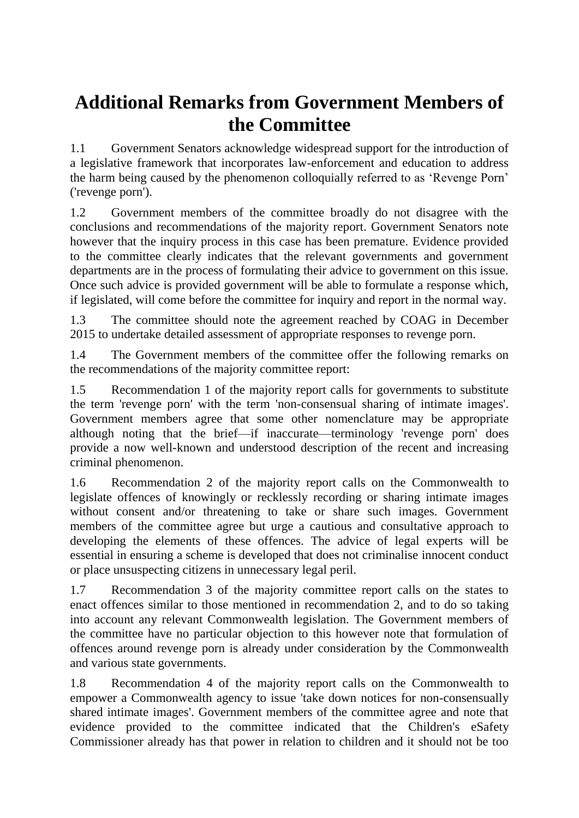## **Additional Remarks from Government Members of the Committee**

1.1 Government Senators acknowledge widespread support for the introduction of a legislative framework that incorporates law-enforcement and education to address the harm being caused by the phenomenon colloquially referred to as 'Revenge Porn' ('revenge porn').

1.2 Government members of the committee broadly do not disagree with the conclusions and recommendations of the majority report. Government Senators note however that the inquiry process in this case has been premature. Evidence provided to the committee clearly indicates that the relevant governments and government departments are in the process of formulating their advice to government on this issue. Once such advice is provided government will be able to formulate a response which, if legislated, will come before the committee for inquiry and report in the normal way.

1.3 The committee should note the agreement reached by COAG in December 2015 to undertake detailed assessment of appropriate responses to revenge porn.

1.4 The Government members of the committee offer the following remarks on the recommendations of the majority committee report:

1.5 Recommendation 1 of the majority report calls for governments to substitute the term 'revenge porn' with the term 'non-consensual sharing of intimate images'. Government members agree that some other nomenclature may be appropriate although noting that the brief—if inaccurate—terminology 'revenge porn' does provide a now well-known and understood description of the recent and increasing criminal phenomenon.

1.6 Recommendation 2 of the majority report calls on the Commonwealth to legislate offences of knowingly or recklessly recording or sharing intimate images without consent and/or threatening to take or share such images. Government members of the committee agree but urge a cautious and consultative approach to developing the elements of these offences. The advice of legal experts will be essential in ensuring a scheme is developed that does not criminalise innocent conduct or place unsuspecting citizens in unnecessary legal peril.

1.7 Recommendation 3 of the majority committee report calls on the states to enact offences similar to those mentioned in recommendation 2, and to do so taking into account any relevant Commonwealth legislation. The Government members of the committee have no particular objection to this however note that formulation of offences around revenge porn is already under consideration by the Commonwealth and various state governments.

1.8 Recommendation 4 of the majority report calls on the Commonwealth to empower a Commonwealth agency to issue 'take down notices for non-consensually shared intimate images'. Government members of the committee agree and note that evidence provided to the committee indicated that the Children's eSafety Commissioner already has that power in relation to children and it should not be too